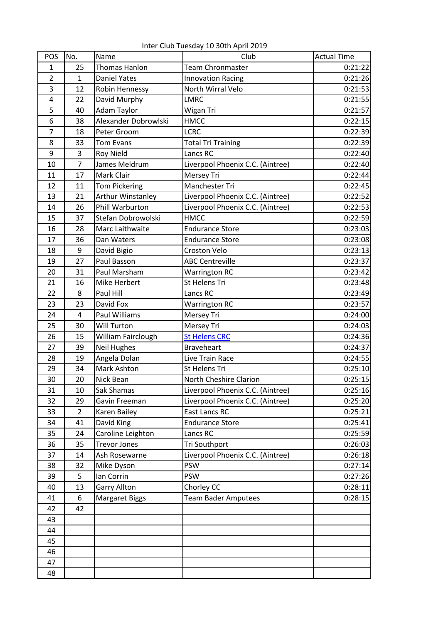Inter Club Tuesday 10 30th April 2019

| POS            | No.            | Name                     | Club                             | <b>Actual Time</b> |
|----------------|----------------|--------------------------|----------------------------------|--------------------|
| $\mathbf{1}$   | 25             | Thomas Hanlon            | Team Chronmaster                 | 0:21:22            |
| $\overline{2}$ | $\mathbf{1}$   | <b>Daniel Yates</b>      | <b>Innovation Racing</b>         | 0:21:26            |
| 3              | 12             | Robin Hennessy           | North Wirral Velo                | 0:21:53            |
| 4              | 22             | David Murphy             | <b>LMRC</b>                      | 0:21:55            |
| 5              | 40             | Adam Taylor              | Wigan Tri                        | 0:21:57            |
| 6              | 38             | Alexander Dobrowlski     | <b>HMCC</b>                      | 0:22:15            |
| 7              | 18             | Peter Groom              | <b>LCRC</b>                      | 0:22:39            |
| 8              | 33             | <b>Tom Evans</b>         | <b>Total Tri Training</b>        | 0:22:39            |
| 9              | 3              | <b>Roy Nield</b>         | Lancs RC                         | 0:22:40            |
| 10             | 7              | James Meldrum            | Liverpool Phoenix C.C. (Aintree) | 0:22:40            |
| 11             | 17             | Mark Clair               | Mersey Tri                       | 0:22:44            |
| 12             | 11             | <b>Tom Pickering</b>     | Manchester Tri                   | 0:22:45            |
| 13             | 21             | <b>Arthur Winstanley</b> | Liverpool Phoenix C.C. (Aintree) | 0:22:52            |
| 14             | 26             | Phill Warburton          | Liverpool Phoenix C.C. (Aintree) | 0:22:53            |
| 15             | 37             | Stefan Dobrowolski       | <b>HMCC</b>                      | 0:22:59            |
| 16             | 28             | Marc Laithwaite          | <b>Endurance Store</b>           | 0:23:03            |
| 17             | 36             | Dan Waters               | <b>Endurance Store</b>           | 0:23:08            |
| 18             | 9              | David Bigio              | <b>Croston Velo</b>              | 0:23:13            |
| 19             | 27             | Paul Basson              | <b>ABC Centreville</b>           | 0:23:37            |
| 20             | 31             | Paul Marsham             | <b>Warrington RC</b>             | 0:23:42            |
| 21             | 16             | Mike Herbert             | St Helens Tri                    | 0:23:48            |
| 22             | 8              | Paul Hill                | Lancs RC                         | 0:23:49            |
| 23             | 23             | David Fox                | <b>Warrington RC</b>             | 0:23:57            |
| 24             | 4              | <b>Paul Williams</b>     | Mersey Tri                       | 0:24:00            |
| 25             | 30             | Will Turton              | Mersey Tri                       | 0:24:03            |
| 26             | 15             | William Fairclough       | <b>St Helens CRC</b>             | 0:24:36            |
| 27             | 39             | <b>Neil Hughes</b>       | <b>Braveheart</b>                | 0:24:37            |
| 28             | 19             | Angela Dolan             | Live Train Race                  | 0:24:55            |
| 29             | 34             | Mark Ashton              | <b>St Helens Tri</b>             | 0:25:10            |
| 30             | 20             | Nick Bean                | North Cheshire Clarion           | 0:25:15            |
| 31             | 10             | Sak Shamas               | Liverpool Phoenix C.C. (Aintree) | 0:25:16            |
| 32             | 29             | Gavin Freeman            | Liverpool Phoenix C.C. (Aintree) | 0:25:20            |
| 33             | $\overline{2}$ | Karen Bailey             | East Lancs RC                    | 0:25:21            |
| 34             | 41             | David King               | <b>Endurance Store</b>           | 0:25:41            |
| 35             | 24             | Caroline Leighton        | Lancs RC                         | 0:25:59            |
| 36             | 35             | <b>Trevor Jones</b>      | Tri Southport                    | 0:26:03            |
| 37             | 14             | Ash Rosewarne            | Liverpool Phoenix C.C. (Aintree) | 0:26:18            |
| 38             | 32             | Mike Dyson               | <b>PSW</b>                       | 0:27:14            |
| 39             | 5              | lan Corrin               | <b>PSW</b>                       | 0:27:26            |
| 40             | 13             | Garry Allton             | Chorley CC                       | 0:28:11            |
| 41             | 6              | <b>Margaret Biggs</b>    | <b>Team Bader Amputees</b>       | 0:28:15            |
| 42             | 42             |                          |                                  |                    |
| 43             |                |                          |                                  |                    |
| 44             |                |                          |                                  |                    |
| 45             |                |                          |                                  |                    |
| 46             |                |                          |                                  |                    |
| 47             |                |                          |                                  |                    |
| 48             |                |                          |                                  |                    |